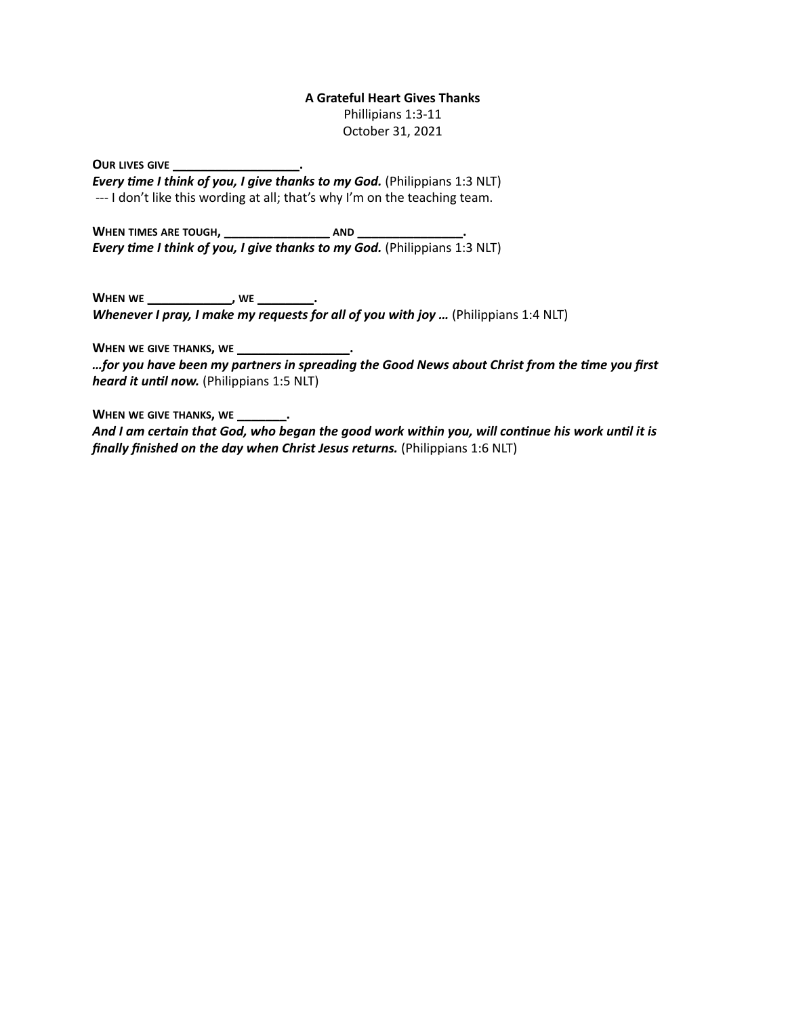#### **A Grateful Heart Gives Thanks**

Phillipians 1:3-11 October 31, 2021

**OUR LIVES GIVE \_\_\_\_\_\_\_\_\_\_\_\_\_\_\_\_\_\_.**

*Every time I think of you, I give thanks to my God.* (Philippians 1:3 NLT) --- I don't like this wording at all; that's why I'm on the teaching team.

**WHEN TIMES ARE TOUGH, \_\_\_\_\_\_\_\_\_\_\_\_\_\_\_ AND \_\_\_\_\_\_\_\_\_\_\_\_\_\_\_.** *Every time I think of you, I give thanks to my God.* **(Philippians 1:3 NLT)** 

**WHEN WE \_\_\_\_\_\_\_\_\_\_\_\_, WE \_\_\_\_\_\_\_\_.** *Whenever I pray, I make my requests for all of you with joy ...* (Philippians 1:4 NLT)

**WHEN WE GIVE THANKS, WE \_\_\_\_\_\_\_\_\_\_\_\_\_\_\_\_.**

*…for you have been my partners in spreading the Good News about Christ from the time you first heard it until now.* (Philippians 1:5 NLT)

**WHEN WE GIVE THANKS, WE \_\_\_\_\_\_\_.**

*And I am certain that God, who began the good work within you, will continue his work until it is finally finished on the day when Christ Jesus returns.* (Philippians 1:6 NLT)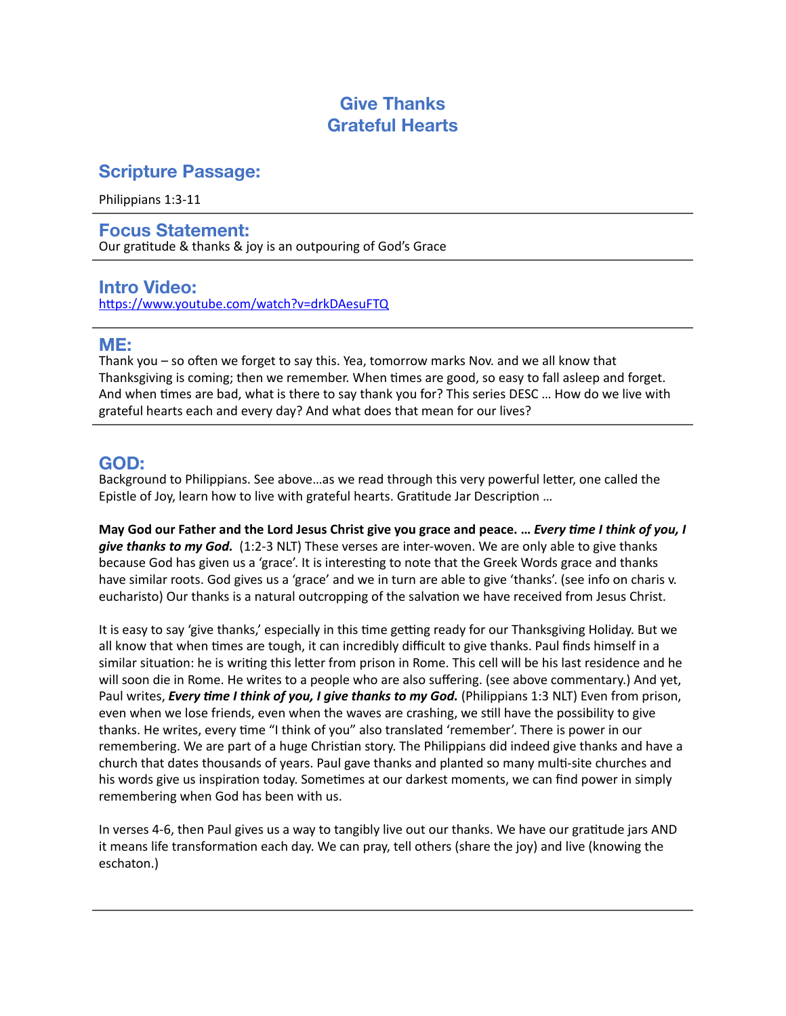# **Give Thanks Grateful Hearts**

## **Scripture Passage:**

Philippians 1:3-11

**Focus Statement:**  Our gratitude & thanks & joy is an outpouring of God's Grace

# **Intro Video:**

<https://www.youtube.com/watch?v=drkDAesuFTQ>

### **ME:**

Thank you – so often we forget to say this. Yea, tomorrow marks Nov. and we all know that Thanksgiving is coming; then we remember. When times are good, so easy to fall asleep and forget. And when times are bad, what is there to say thank you for? This series DESC … How do we live with grateful hearts each and every day? And what does that mean for our lives?

# **GOD:**

Background to Philippians. See above…as we read through this very powerful letter, one called the Epistle of Joy, learn how to live with grateful hearts. Gratitude Jar Description …

**May God our Father and the Lord Jesus Christ give you grace and peace. …** *Every time I think of you, I give thanks to my God.* (1:2-3 NLT) These verses are inter-woven. We are only able to give thanks because God has given us a 'grace'. It is interesting to note that the Greek Words grace and thanks have similar roots. God gives us a 'grace' and we in turn are able to give 'thanks'. (see info on charis v. eucharisto) Our thanks is a natural outcropping of the salvation we have received from Jesus Christ.

It is easy to say 'give thanks,' especially in this time getting ready for our Thanksgiving Holiday. But we all know that when times are tough, it can incredibly difficult to give thanks. Paul finds himself in a similar situation: he is writing this letter from prison in Rome. This cell will be his last residence and he will soon die in Rome. He writes to a people who are also suffering. (see above commentary.) And yet, Paul writes, *Every time I think of you, I give thanks to my God.* (Philippians 1:3 NLT) Even from prison, even when we lose friends, even when the waves are crashing, we still have the possibility to give thanks. He writes, every time "I think of you" also translated 'remember'. There is power in our remembering. We are part of a huge Christian story. The Philippians did indeed give thanks and have a church that dates thousands of years. Paul gave thanks and planted so many multi-site churches and his words give us inspiration today. Sometimes at our darkest moments, we can find power in simply remembering when God has been with us.

In verses 4-6, then Paul gives us a way to tangibly live out our thanks. We have our gratitude jars AND it means life transformation each day. We can pray, tell others (share the joy) and live (knowing the eschaton.)